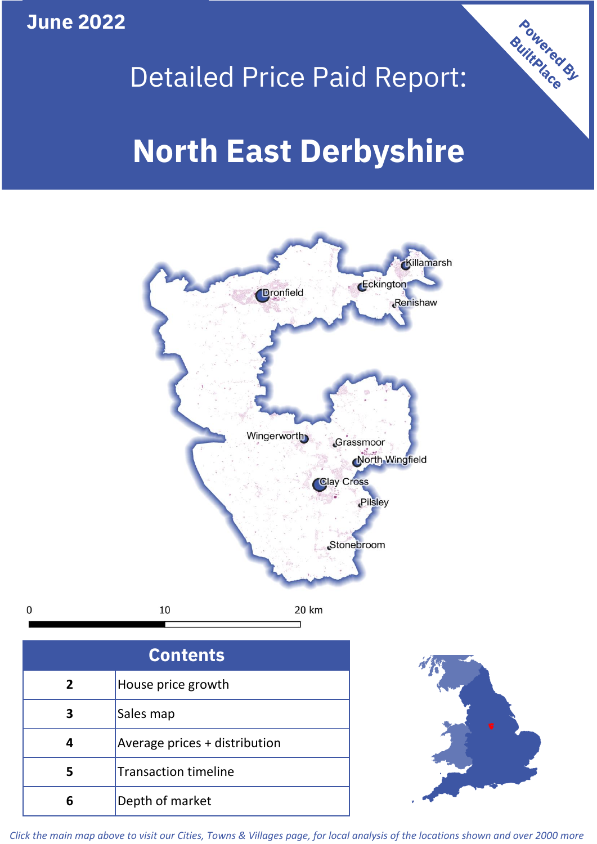**June 2022**

 $\mathbf 0$ 



## Detailed Price Paid Report:

# **North East Derbyshire**



| <b>Contents</b> |                               |  |  |
|-----------------|-------------------------------|--|--|
| $\overline{2}$  | House price growth            |  |  |
| 3               | Sales map                     |  |  |
|                 | Average prices + distribution |  |  |
| 5               | <b>Transaction timeline</b>   |  |  |
|                 | Depth of market               |  |  |



*Click the main map above to visit our Cities, Towns & Villages page, for local analysis of the locations shown and over 2000 more*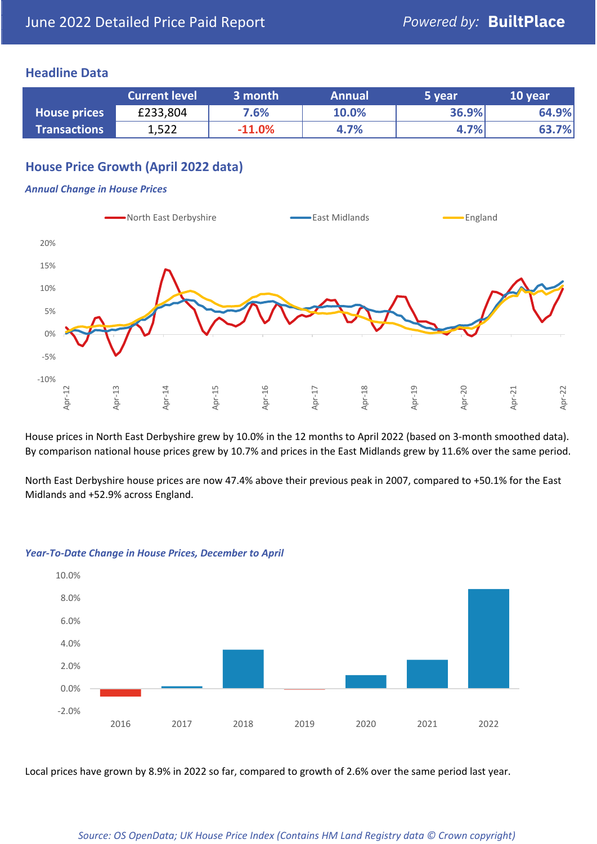#### **Headline Data**

|                     | <b>Current level</b> | 3 month  | <b>Annual</b> | 5 year | 10 year |
|---------------------|----------------------|----------|---------------|--------|---------|
| <b>House prices</b> | £233,804             | 7.6%     | 10.0%         | 36.9%  | 64.9%   |
| <b>Transactions</b> | 1,522                | $-11.0%$ | 4.7%          | 4.7%   | 63.7%   |

## **House Price Growth (April 2022 data)**

#### *Annual Change in House Prices*



House prices in North East Derbyshire grew by 10.0% in the 12 months to April 2022 (based on 3-month smoothed data). By comparison national house prices grew by 10.7% and prices in the East Midlands grew by 11.6% over the same period.

North East Derbyshire house prices are now 47.4% above their previous peak in 2007, compared to +50.1% for the East Midlands and +52.9% across England.



#### *Year-To-Date Change in House Prices, December to April*

Local prices have grown by 8.9% in 2022 so far, compared to growth of 2.6% over the same period last year.

#### *Source: OS OpenData; UK House Price Index (Contains HM Land Registry data © Crown copyright)*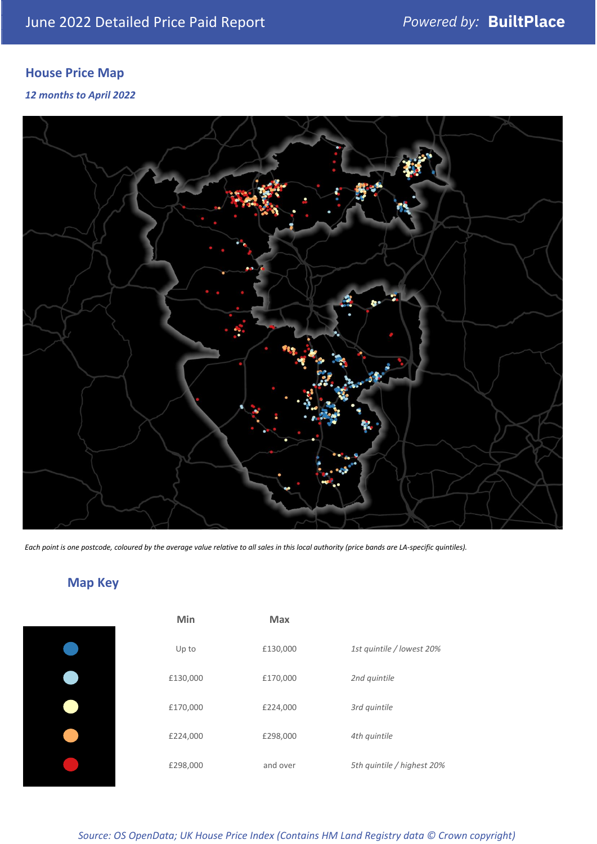## **House Price Map**

#### *12 months to April 2022*



*Each point is one postcode, coloured by the average value relative to all sales in this local authority (price bands are LA-specific quintiles).*

## **Map Key**

| Min      | <b>Max</b> |                            |
|----------|------------|----------------------------|
| Up to    | £130,000   | 1st quintile / lowest 20%  |
| £130,000 | £170,000   | 2nd quintile               |
| £170,000 | £224,000   | 3rd quintile               |
| £224,000 | £298,000   | 4th quintile               |
| £298,000 | and over   | 5th quintile / highest 20% |
|          |            |                            |

#### *Source: OS OpenData; UK House Price Index (Contains HM Land Registry data © Crown copyright)*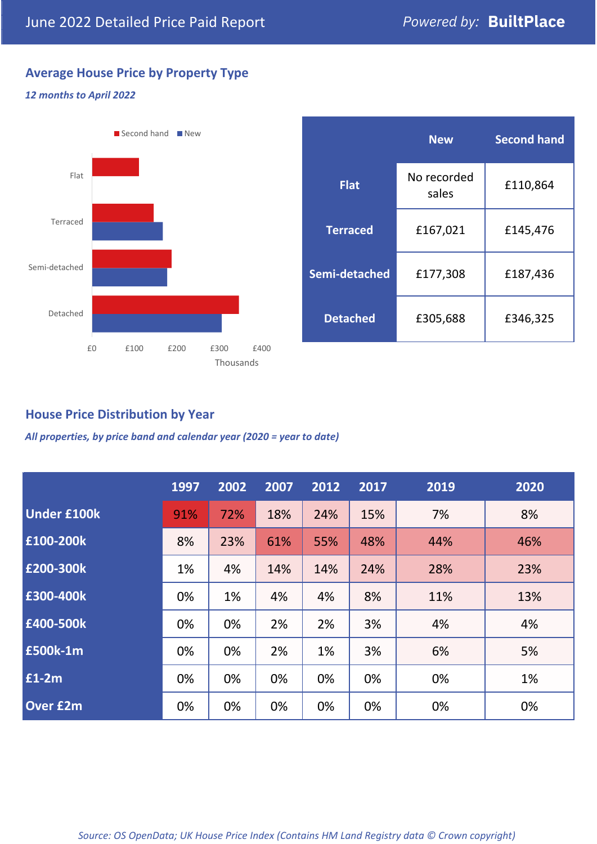## **Average House Price by Property Type**

#### *12 months to April 2022*



|                 | <b>New</b>           | <b>Second hand</b> |  |
|-----------------|----------------------|--------------------|--|
| <b>Flat</b>     | No recorded<br>sales | £110,864           |  |
| <b>Terraced</b> | £167,021             | £145,476           |  |
| Semi-detached   | £177,308             | £187,436           |  |
| <b>Detached</b> | £305,688             | £346,325           |  |

### **House Price Distribution by Year**

*All properties, by price band and calendar year (2020 = year to date)*

|                    | 1997 | 2002 | 2007 | 2012 | 2017 | 2019 | 2020 |
|--------------------|------|------|------|------|------|------|------|
| <b>Under £100k</b> | 91%  | 72%  | 18%  | 24%  | 15%  | 7%   | 8%   |
| £100-200k          | 8%   | 23%  | 61%  | 55%  | 48%  | 44%  | 46%  |
| E200-300k          | 1%   | 4%   | 14%  | 14%  | 24%  | 28%  | 23%  |
| £300-400k          | 0%   | 1%   | 4%   | 4%   | 8%   | 11%  | 13%  |
| £400-500k          | 0%   | 0%   | 2%   | 2%   | 3%   | 4%   | 4%   |
| <b>£500k-1m</b>    | 0%   | 0%   | 2%   | 1%   | 3%   | 6%   | 5%   |
| £1-2m              | 0%   | 0%   | 0%   | 0%   | 0%   | 0%   | 1%   |
| <b>Over £2m</b>    | 0%   | 0%   | 0%   | 0%   | 0%   | 0%   | 0%   |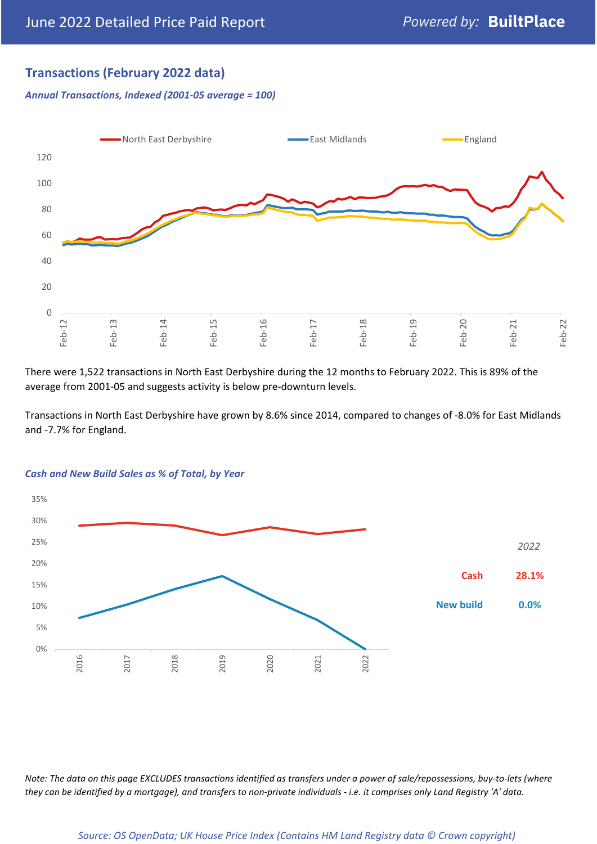## **Transactions (February 2022 data)**

*Annual Transactions, Indexed (2001-05 average = 100)*



There were 1,522 transactions in North East Derbyshire during the 12 months to February 2022. This is 89% of the average from 2001-05 and suggests activity is below pre-downturn levels.

Transactions in North East Derbyshire have grown by 8.6% since 2014, compared to changes of -8.0% for East Midlands and -7.7% for England.



#### *Cash and New Build Sales as % of Total, by Year*

*Note: The data on this page EXCLUDES transactions identified as transfers under a power of sale/repossessions, buy-to-lets (where they can be identified by a mortgage), and transfers to non-private individuals - i.e. it comprises only Land Registry 'A' data.*